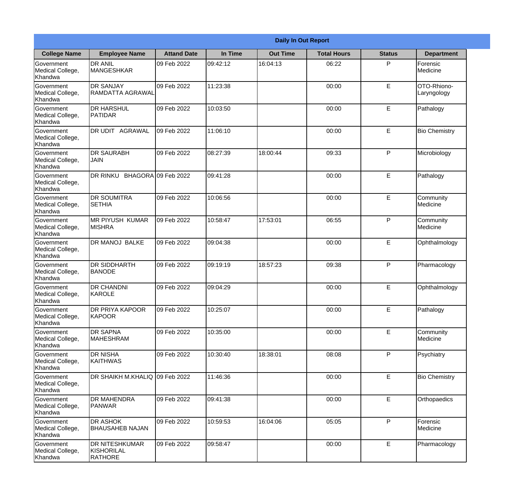|                                                  | <b>Daily In Out Report</b>                            |                    |          |                 |                    |               |                            |
|--------------------------------------------------|-------------------------------------------------------|--------------------|----------|-----------------|--------------------|---------------|----------------------------|
| <b>College Name</b>                              | <b>Employee Name</b>                                  | <b>Attand Date</b> | In Time  | <b>Out Time</b> | <b>Total Hours</b> | <b>Status</b> | <b>Department</b>          |
| Government<br>Medical College,<br>Khandwa        | <b>DR ANIL</b><br><b>MANGESHKAR</b>                   | 09 Feb 2022        | 09:42:12 | 16:04:13        | 06:22              | P             | Forensic<br>Medicine       |
| Government<br>Medical College,<br>Khandwa        | <b>DR SANJAY</b><br>RAMDATTA AGRAWAL                  | 09 Feb 2022        | 11:23:38 |                 | 00:00              | $\mathsf E$   | OTO-Rhiono-<br>Laryngology |
| <b>Government</b><br>Medical College,<br>Khandwa | <b>DR HARSHUL</b><br><b>PATIDAR</b>                   | 09 Feb 2022        | 10:03:50 |                 | 00:00              | E             | Pathalogy                  |
| <b>Government</b><br>Medical College,<br>Khandwa | DR UDIT AGRAWAL                                       | 09 Feb 2022        | 11:06:10 |                 | 00:00              | E             | <b>Bio Chemistry</b>       |
| Government<br>Medical College,<br>Khandwa        | <b>DR SAURABH</b><br><b>JAIN</b>                      | 09 Feb 2022        | 08:27:39 | 18:00:44        | 09:33              | P             | Microbiology               |
| Government<br>Medical College,<br>Khandwa        | DR RINKU BHAGORA 09 Feb 2022                          |                    | 09:41:28 |                 | 00:00              | E             | Pathalogy                  |
| <b>Government</b><br>Medical College,<br>Khandwa | <b>DR SOUMITRA</b><br><b>SETHIA</b>                   | 09 Feb 2022        | 10:06:56 |                 | 00:00              | E             | Community<br>Medicine      |
| <b>Government</b><br>Medical College,<br>Khandwa | <b>MR PIYUSH KUMAR</b><br><b>MISHRA</b>               | 09 Feb 2022        | 10:58:47 | 17:53:01        | 06:55              | P             | Community<br>Medicine      |
| Government<br>Medical College,<br>Khandwa        | <b>DR MANOJ BALKE</b>                                 | 09 Feb 2022        | 09:04:38 |                 | 00:00              | E             | Ophthalmology              |
| Government<br>Medical College,<br>Khandwa        | <b>DR SIDDHARTH</b><br><b>BANODE</b>                  | 09 Feb 2022        | 09:19:19 | 18:57:23        | 09:38              | P             | Pharmacology               |
| Government<br>Medical College,<br>Khandwa        | IDR CHANDNI<br>KAROLE                                 | 09 Feb 2022        | 09:04:29 |                 | 00:00              | E             | Ophthalmology              |
| Government<br>Medical College,<br>Khandwa        | <b>DR PRIYA KAPOOR</b><br>KAPOOR                      | 09 Feb 2022        | 10:25:07 |                 | 00:00              | E             | Pathalogy                  |
| Government<br>Medical College,<br>Khandwa        | <b>DR SAPNA</b><br><b>MAHESHRAM</b>                   | 09 Feb 2022        | 10:35:00 |                 | 00:00              | E             | Community<br>Medicine      |
| Government<br>Medical College,<br>Khandwa        | <b>DR NISHA</b><br><b>KAITHWAS</b>                    | 09 Feb 2022        | 10:30:40 | 18:38:01        | 08:08              | P             | Psychiatry                 |
| Government<br>Medical College,<br>Khandwa        | DR SHAIKH M.KHALIQ 09 Feb 2022                        |                    | 11:46:36 |                 | 00:00              | E             | <b>Bio Chemistry</b>       |
| Government<br>Medical College,<br>Khandwa        | <b>DR MAHENDRA</b><br><b>PANWAR</b>                   | 09 Feb 2022        | 09:41:38 |                 | 00:00              | E             | Orthopaedics               |
| Government<br>Medical College,<br>Khandwa        | <b>DR ASHOK</b><br><b>BHAUSAHEB NAJAN</b>             | 09 Feb 2022        | 10:59:53 | 16:04:06        | 05:05              | P             | Forensic<br>Medicine       |
| Government<br>Medical College,<br>Khandwa        | <b>DR NITESHKUMAR</b><br>KISHORILAL<br><b>RATHORE</b> | 09 Feb 2022        | 09:58:47 |                 | 00:00              | $\mathsf E$   | Pharmacology               |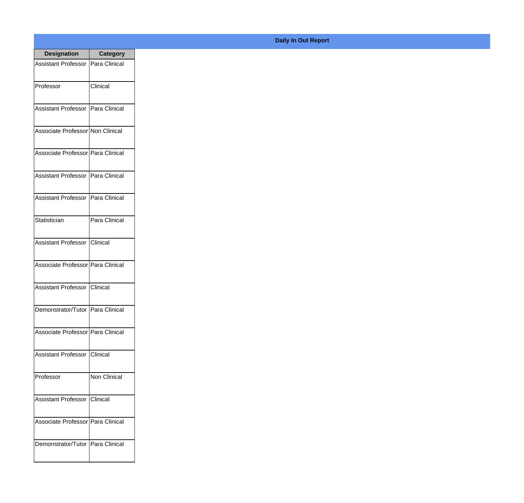| <b>Designation</b>                  | Category          |
|-------------------------------------|-------------------|
| Assistant Professor   Para Clinical |                   |
| Professor                           | Clinical          |
| Assistant Professor   Para Clinical |                   |
| Associate Professor Non Clinical    |                   |
| Associate Professor Para Clinical   |                   |
| Assistant Professor   Para Clinical |                   |
| Assistant Professor   Para Clinical |                   |
| Statistician                        | Para Clinical     |
| Assistant Professor   Clinical      |                   |
| Associate Professor   Para Clinical |                   |
| Assistant Professor                 | <b>I</b> Clinical |
| Demonstrator/Tutor   Para Clinical  |                   |
| Associate Professor   Para Clinical |                   |
| Assistant Professor   Clinical      |                   |
| Professor                           | Non Clinical      |
| <b>Assistant Professor</b>          | Clinical          |
| Associate Professor   Para Clinical |                   |
| Demonstrator/Tutor   Para Clinical  |                   |

## **Daily In Out Report**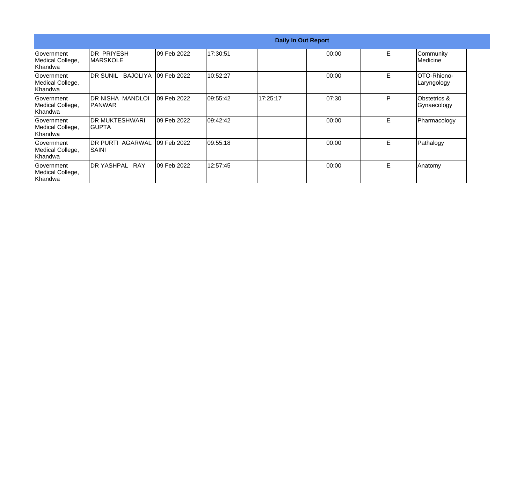|                                                         |                                   |             |           | <b>Daily In Out Report</b> |       |    |                             |
|---------------------------------------------------------|-----------------------------------|-------------|-----------|----------------------------|-------|----|-----------------------------|
| Government<br>Medical College,<br>Khandwa               | IDR PRIYESH<br>IMARSKOLE          | 09 Feb 2022 | 17:30:51  |                            | 00:00 | E  | Community<br>Medicine       |
| <b>Government</b><br>Medical College,<br>Khandwa        | IDR SUNIL BAJOLIYA                | 09 Feb 2022 | 10:52:27  |                            | 00:00 | E  | IOTO-Rhiono-<br>Laryngology |
| <b>Government</b><br>Medical College,<br>Khandwa        | IDR NISHA MANDLOI<br>IPANWAR      | 09 Feb 2022 | 109:55:42 | 17:25:17                   | 07:30 | P  | Obstetrics &<br>Gynaecology |
| <b>Government</b><br>Medical College,<br><b>Khandwa</b> | <b>IDR MUKTESHWARI</b><br>IGUPTA  | 09 Feb 2022 | 09:42:42  |                            | 00:00 | E. | Pharmacology                |
| <b>Government</b><br>Medical College,<br>Khandwa        | <b>IDR PURTI AGARWAL</b><br>SAINI | 09 Feb 2022 | 109:55:18 |                            | 00:00 | E  | Pathalogy                   |
| Government<br>Medical College,<br>lKhandwa              | <b>DR YASHPAL RAY</b>             | 09 Feb 2022 | 12:57:45  |                            | 00:00 | E. | Anatomy                     |